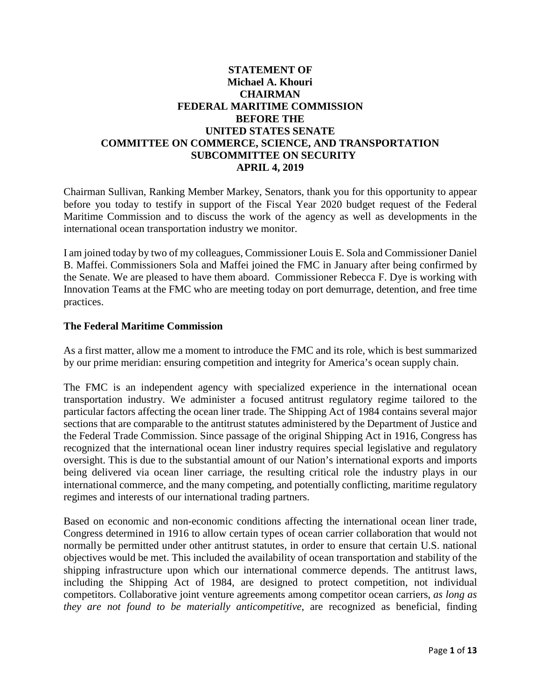# **STATEMENT OF Michael A. Khouri CHAIRMAN FEDERAL MARITIME COMMISSION BEFORE THE UNITED STATES SENATE COMMITTEE ON COMMERCE, SCIENCE, AND TRANSPORTATION SUBCOMMITTEE ON SECURITY APRIL 4, 2019**

Chairman Sullivan, Ranking Member Markey, Senators, thank you for this opportunity to appear before you today to testify in support of the Fiscal Year 2020 budget request of the Federal Maritime Commission and to discuss the work of the agency as well as developments in the international ocean transportation industry we monitor.

I am joined today by two of my colleagues, Commissioner Louis E. Sola and Commissioner Daniel B. Maffei. Commissioners Sola and Maffei joined the FMC in January after being confirmed by the Senate. We are pleased to have them aboard. Commissioner Rebecca F. Dye is working with Innovation Teams at the FMC who are meeting today on port demurrage, detention, and free time practices.

#### **The Federal Maritime Commission**

As a first matter, allow me a moment to introduce the FMC and its role, which is best summarized by our prime meridian: ensuring competition and integrity for America's ocean supply chain.

The FMC is an independent agency with specialized experience in the international ocean transportation industry. We administer a focused antitrust regulatory regime tailored to the particular factors affecting the ocean liner trade. The Shipping Act of 1984 contains several major sections that are comparable to the antitrust statutes administered by the Department of Justice and the Federal Trade Commission. Since passage of the original Shipping Act in 1916, Congress has recognized that the international ocean liner industry requires special legislative and regulatory oversight. This is due to the substantial amount of our Nation's international exports and imports being delivered via ocean liner carriage, the resulting critical role the industry plays in our international commerce, and the many competing, and potentially conflicting, maritime regulatory regimes and interests of our international trading partners.

Based on economic and non-economic conditions affecting the international ocean liner trade, Congress determined in 1916 to allow certain types of ocean carrier collaboration that would not normally be permitted under other antitrust statutes, in order to ensure that certain U.S. national objectives would be met. This included the availability of ocean transportation and stability of the shipping infrastructure upon which our international commerce depends. The antitrust laws, including the Shipping Act of 1984, are designed to protect competition, not individual competitors. Collaborative joint venture agreements among competitor ocean carriers, *as long as they are not found to be materially anticompetitive*, are recognized as beneficial, finding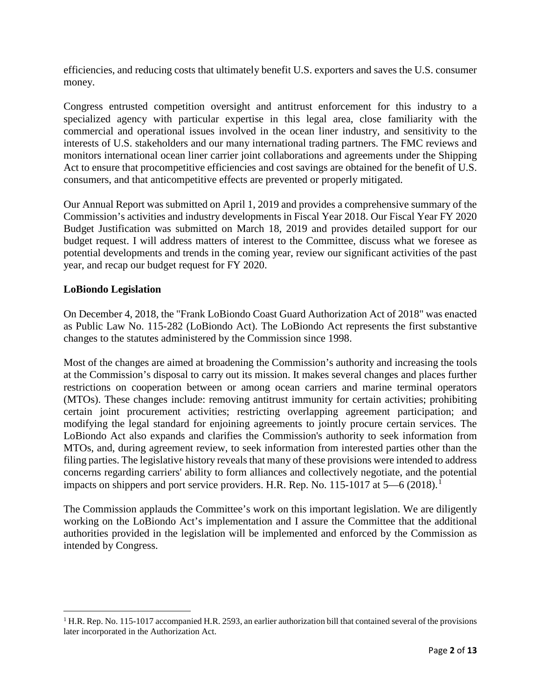efficiencies, and reducing costs that ultimately benefit U.S. exporters and saves the U.S. consumer money.

Congress entrusted competition oversight and antitrust enforcement for this industry to a specialized agency with particular expertise in this legal area, close familiarity with the commercial and operational issues involved in the ocean liner industry, and sensitivity to the interests of U.S. stakeholders and our many international trading partners. The FMC reviews and monitors international ocean liner carrier joint collaborations and agreements under the Shipping Act to ensure that procompetitive efficiencies and cost savings are obtained for the benefit of U.S. consumers, and that anticompetitive effects are prevented or properly mitigated.

Our Annual Report was submitted on April 1, 2019 and provides a comprehensive summary of the Commission's activities and industry developments in Fiscal Year 2018. Our Fiscal Year FY 2020 Budget Justification was submitted on March 18, 2019 and provides detailed support for our budget request. I will address matters of interest to the Committee, discuss what we foresee as potential developments and trends in the coming year, review our significant activities of the past year, and recap our budget request for FY 2020.

# **LoBiondo Legislation**

l

On December 4, 2018, the "Frank LoBiondo Coast Guard Authorization Act of 2018" was enacted as Public Law No. 115-282 (LoBiondo Act). The LoBiondo Act represents the first substantive changes to the statutes administered by the Commission since 1998.

Most of the changes are aimed at broadening the Commission's authority and increasing the tools at the Commission's disposal to carry out its mission. It makes several changes and places further restrictions on cooperation between or among ocean carriers and marine terminal operators (MTOs). These changes include: removing antitrust immunity for certain activities; prohibiting certain joint procurement activities; restricting overlapping agreement participation; and modifying the legal standard for enjoining agreements to jointly procure certain services. The LoBiondo Act also expands and clarifies the Commission's authority to seek information from MTOs, and, during agreement review, to seek information from interested parties other than the filing parties. The legislative history reveals that many of these provisions were intended to address concerns regarding carriers' ability to form alliances and collectively negotiate, and the potential impacts on shippers and port service providers. H.R. Rep. No. [1](#page-1-0)15-1017 at  $5-6$  (2018).<sup>1</sup>

The Commission applauds the Committee's work on this important legislation. We are diligently working on the LoBiondo Act's implementation and I assure the Committee that the additional authorities provided in the legislation will be implemented and enforced by the Commission as intended by Congress.

<span id="page-1-0"></span><sup>&</sup>lt;sup>1</sup> H.R. Rep. No. 115-1017 accompanied H.R. 2593, an earlier authorization bill that contained several of the provisions later incorporated in the Authorization Act.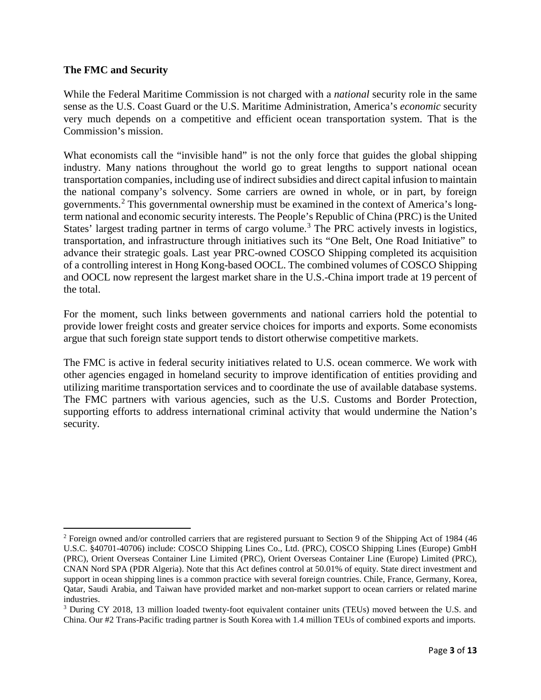## **The FMC and Security**

l

While the Federal Maritime Commission is not charged with a *national* security role in the same sense as the U.S. Coast Guard or the U.S. Maritime Administration, America's *economic* security very much depends on a competitive and efficient ocean transportation system. That is the Commission's mission.

What economists call the "invisible hand" is not the only force that guides the global shipping industry. Many nations throughout the world go to great lengths to support national ocean transportation companies, including use of indirect subsidies and direct capital infusion to maintain the national company's solvency. Some carriers are owned in whole, or in part, by foreign governments.[2](#page-2-0) This governmental ownership must be examined in the context of America's longterm national and economic security interests. The People's Republic of China (PRC) is the United States' largest trading partner in terms of cargo volume.<sup>[3](#page-2-1)</sup> The PRC actively invests in logistics, transportation, and infrastructure through initiatives such its "One Belt, One Road Initiative" to advance their strategic goals. Last year PRC-owned COSCO Shipping completed its acquisition of a controlling interest in Hong Kong-based OOCL. The combined volumes of COSCO Shipping and OOCL now represent the largest market share in the U.S.-China import trade at 19 percent of the total.

For the moment, such links between governments and national carriers hold the potential to provide lower freight costs and greater service choices for imports and exports. Some economists argue that such foreign state support tends to distort otherwise competitive markets.

The FMC is active in federal security initiatives related to U.S. ocean commerce. We work with other agencies engaged in homeland security to improve identification of entities providing and utilizing maritime transportation services and to coordinate the use of available database systems. The FMC partners with various agencies, such as the U.S. Customs and Border Protection, supporting efforts to address international criminal activity that would undermine the Nation's security.

<span id="page-2-0"></span><sup>2</sup> Foreign owned and/or controlled carriers that are registered pursuant to Section 9 of the Shipping Act of 1984 (46 U.S.C. §40701-40706) include: COSCO Shipping Lines Co., Ltd. (PRC), COSCO Shipping Lines (Europe) GmbH (PRC), Orient Overseas Container Line Limited (PRC), Orient Overseas Container Line (Europe) Limited (PRC), CNAN Nord SPA (PDR Algeria). Note that this Act defines control at 50.01% of equity. State direct investment and support in ocean shipping lines is a common practice with several foreign countries. Chile, France, Germany, Korea, Qatar, Saudi Arabia, and Taiwan have provided market and non-market support to ocean carriers or related marine industries.

<span id="page-2-1"></span><sup>&</sup>lt;sup>3</sup> During CY 2018, 13 million loaded twenty-foot equivalent container units (TEUs) moved between the U.S. and China. Our #2 Trans-Pacific trading partner is South Korea with 1.4 million TEUs of combined exports and imports.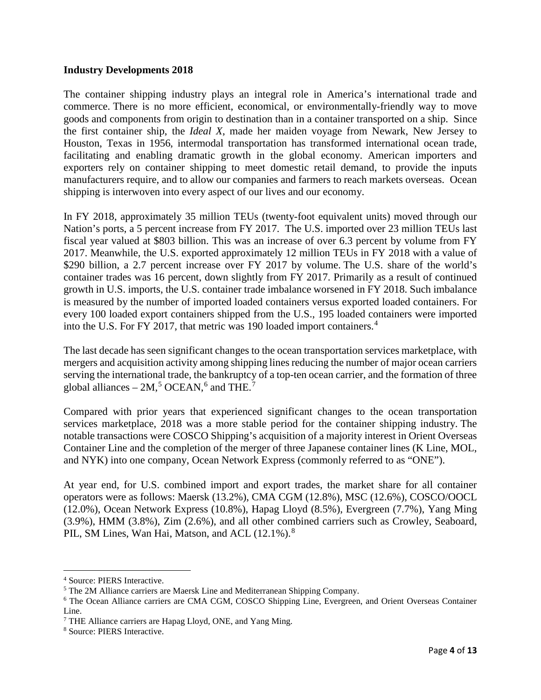#### **Industry Developments 2018**

The container shipping industry plays an integral role in America's international trade and commerce. There is no more efficient, economical, or environmentally-friendly way to move goods and components from origin to destination than in a container transported on a ship. Since the first container ship, the *Ideal X*, made her maiden voyage from Newark, New Jersey to Houston, Texas in 1956, intermodal transportation has transformed international ocean trade, facilitating and enabling dramatic growth in the global economy. American importers and exporters rely on container shipping to meet domestic retail demand, to provide the inputs manufacturers require, and to allow our companies and farmers to reach markets overseas. Ocean shipping is interwoven into every aspect of our lives and our economy.

In FY 2018, approximately 35 million TEUs (twenty-foot equivalent units) moved through our Nation's ports, a 5 percent increase from FY 2017. The U.S. imported over 23 million TEUs last fiscal year valued at \$803 billion. This was an increase of over 6.3 percent by volume from FY 2017. Meanwhile, the U.S. exported approximately 12 million TEUs in FY 2018 with a value of \$290 billion, a 2.7 percent increase over FY 2017 by volume. The U.S. share of the world's container trades was 16 percent, down slightly from FY 2017. Primarily as a result of continued growth in U.S. imports, the U.S. container trade imbalance worsened in FY 2018. Such imbalance is measured by the number of imported loaded containers versus exported loaded containers. For every 100 loaded export containers shipped from the U.S., 195 loaded containers were imported into the U.S. For FY 2017, that metric was 190 loaded import containers.<sup>[4](#page-3-0)</sup>

The last decade has seen significant changes to the ocean transportation services marketplace, with mergers and acquisition activity among shipping lines reducing the number of major ocean carriers serving the international trade, the bankruptcy of a top-ten ocean carrier, and the formation of three global alliances –  $2M<sup>5</sup>$  $2M<sup>5</sup>$  $2M<sup>5</sup>$  OCEAN,<sup>[6](#page-3-2)</sup> and THE.<sup>[7](#page-3-3)</sup>

Compared with prior years that experienced significant changes to the ocean transportation services marketplace, 2018 was a more stable period for the container shipping industry. The notable transactions were COSCO Shipping's acquisition of a majority interest in Orient Overseas Container Line and the completion of the merger of three Japanese container lines (K Line, MOL, and NYK) into one company, Ocean Network Express (commonly referred to as "ONE").

At year end, for U.S. combined import and export trades, the market share for all container operators were as follows: Maersk (13.2%), CMA CGM (12.8%), MSC (12.6%), COSCO/OOCL (12.0%), Ocean Network Express (10.8%), Hapag Lloyd (8.5%), Evergreen (7.7%), Yang Ming (3.9%), HMM (3.8%), Zim (2.6%), and all other combined carriers such as Crowley, Seaboard, PIL, SM Lines, Wan Hai, Matson, and ACL (12.1%).<sup>[8](#page-3-4)</sup>

 $\overline{a}$ 

<span id="page-3-1"></span><span id="page-3-0"></span> $4$  Source: PIERS Interactive.<br> $5$  The 2M Alliance carriers are Maersk Line and Mediterranean Shipping Company.

<span id="page-3-2"></span><sup>6</sup> The Ocean Alliance carriers are CMA CGM, COSCO Shipping Line, Evergreen, and Orient Overseas Container Line.

<span id="page-3-3"></span><sup>7</sup> THE Alliance carriers are Hapag Lloyd, ONE, and Yang Ming.

<span id="page-3-4"></span><sup>8</sup> Source: PIERS Interactive.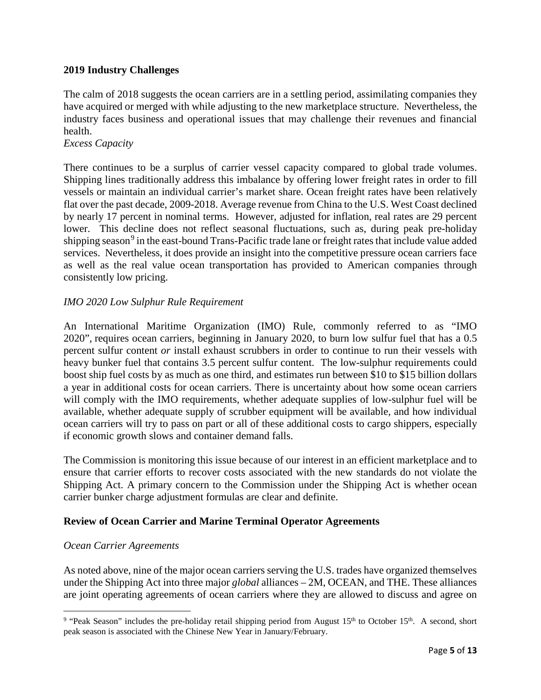# **2019 Industry Challenges**

The calm of 2018 suggests the ocean carriers are in a settling period, assimilating companies they have acquired or merged with while adjusting to the new marketplace structure. Nevertheless, the industry faces business and operational issues that may challenge their revenues and financial health.

#### *Excess Capacity*

There continues to be a surplus of carrier vessel capacity compared to global trade volumes. Shipping lines traditionally address this imbalance by offering lower freight rates in order to fill vessels or maintain an individual carrier's market share. Ocean freight rates have been relatively flat over the past decade, 2009-2018. Average revenue from China to the U.S. West Coast declined by nearly 17 percent in nominal terms. However, adjusted for inflation, real rates are 29 percent lower. This decline does not reflect seasonal fluctuations, such as, during peak pre-holiday shipping season<sup>[9](#page-4-0)</sup> in the east-bound Trans-Pacific trade lane or freight rates that include value added services. Nevertheless, it does provide an insight into the competitive pressure ocean carriers face as well as the real value ocean transportation has provided to American companies through consistently low pricing.

# *IMO 2020 Low Sulphur Rule Requirement*

An International Maritime Organization (IMO) Rule, commonly referred to as "IMO 2020", requires ocean carriers, beginning in January 2020, to burn low sulfur fuel that has a 0.5 percent sulfur content *or* install exhaust scrubbers in order to continue to run their vessels with heavy bunker fuel that contains 3.5 percent sulfur content. The low-sulphur requirements could boost ship fuel costs by as much as one third, and estimates run between \$10 to \$15 billion dollars a year in additional costs for ocean carriers. There is uncertainty about how some ocean carriers will comply with the IMO requirements, whether adequate supplies of low-sulphur fuel will be available, whether adequate supply of scrubber equipment will be available, and how individual ocean carriers will try to pass on part or all of these additional costs to cargo shippers, especially if economic growth slows and container demand falls.

The Commission is monitoring this issue because of our interest in an efficient marketplace and to ensure that carrier efforts to recover costs associated with the new standards do not violate the Shipping Act. A primary concern to the Commission under the Shipping Act is whether ocean carrier bunker charge adjustment formulas are clear and definite.

## **Review of Ocean Carrier and Marine Terminal Operator Agreements**

## *Ocean Carrier Agreements*

l

As noted above, nine of the major ocean carriers serving the U.S. trades have organized themselves under the Shipping Act into three major *global* alliances – 2M, OCEAN, and THE. These alliances are joint operating agreements of ocean carriers where they are allowed to discuss and agree on

<span id="page-4-0"></span><sup>&</sup>lt;sup>9</sup> "Peak Season" includes the pre-holiday retail shipping period from August  $15<sup>th</sup>$  to October  $15<sup>th</sup>$ . A second, short peak season is associated with the Chinese New Year in January/February.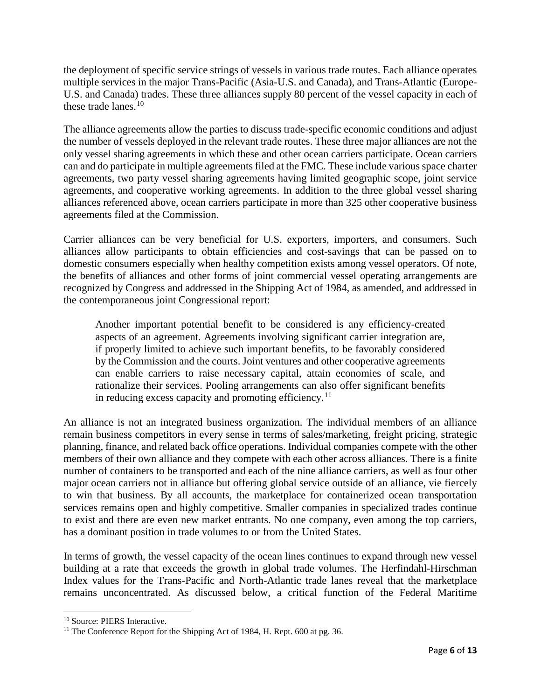the deployment of specific service strings of vessels in various trade routes. Each alliance operates multiple services in the major Trans-Pacific (Asia-U.S. and Canada), and Trans-Atlantic (Europe-U.S. and Canada) trades. These three alliances supply 80 percent of the vessel capacity in each of these trade lanes. $10$ 

The alliance agreements allow the parties to discuss trade-specific economic conditions and adjust the number of vessels deployed in the relevant trade routes. These three major alliances are not the only vessel sharing agreements in which these and other ocean carriers participate. Ocean carriers can and do participate in multiple agreements filed at the FMC. These include various space charter agreements, two party vessel sharing agreements having limited geographic scope, joint service agreements, and cooperative working agreements. In addition to the three global vessel sharing alliances referenced above, ocean carriers participate in more than 325 other cooperative business agreements filed at the Commission.

Carrier alliances can be very beneficial for U.S. exporters, importers, and consumers. Such alliances allow participants to obtain efficiencies and cost-savings that can be passed on to domestic consumers especially when healthy competition exists among vessel operators. Of note, the benefits of alliances and other forms of joint commercial vessel operating arrangements are recognized by Congress and addressed in the Shipping Act of 1984, as amended, and addressed in the contemporaneous joint Congressional report:

Another important potential benefit to be considered is any efficiency-created aspects of an agreement. Agreements involving significant carrier integration are, if properly limited to achieve such important benefits, to be favorably considered by the Commission and the courts. Joint ventures and other cooperative agreements can enable carriers to raise necessary capital, attain economies of scale, and rationalize their services. Pooling arrangements can also offer significant benefits in reducing excess capacity and promoting efficiency.<sup>[11](#page-5-1)</sup>

An alliance is not an integrated business organization. The individual members of an alliance remain business competitors in every sense in terms of sales/marketing, freight pricing, strategic planning, finance, and related back office operations. Individual companies compete with the other members of their own alliance and they compete with each other across alliances. There is a finite number of containers to be transported and each of the nine alliance carriers, as well as four other major ocean carriers not in alliance but offering global service outside of an alliance, vie fiercely to win that business. By all accounts, the marketplace for containerized ocean transportation services remains open and highly competitive. Smaller companies in specialized trades continue to exist and there are even new market entrants. No one company, even among the top carriers, has a dominant position in trade volumes to or from the United States.

In terms of growth, the vessel capacity of the ocean lines continues to expand through new vessel building at a rate that exceeds the growth in global trade volumes. The Herfindahl-Hirschman Index values for the Trans-Pacific and North-Atlantic trade lanes reveal that the marketplace remains unconcentrated. As discussed below, a critical function of the Federal Maritime

l

<span id="page-5-0"></span><sup>&</sup>lt;sup>10</sup> Source: PIERS Interactive.

<span id="page-5-1"></span><sup>&</sup>lt;sup>11</sup> The Conference Report for the Shipping Act of 1984, H. Rept. 600 at pg. 36.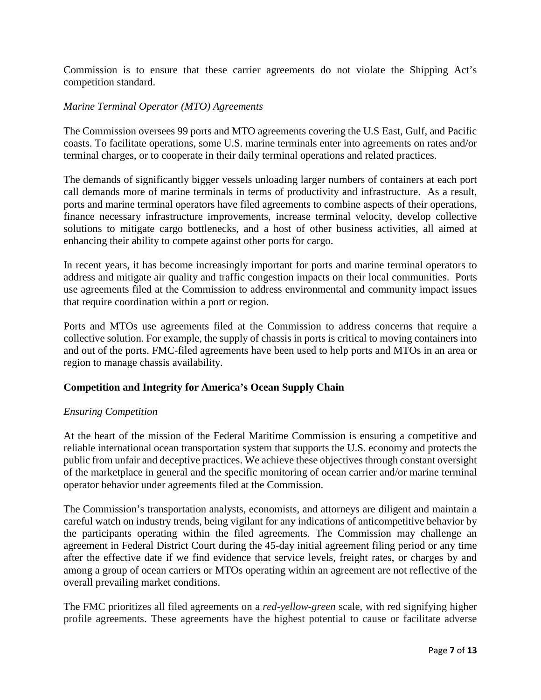Commission is to ensure that these carrier agreements do not violate the Shipping Act's competition standard.

## *Marine Terminal Operator (MTO) Agreements*

The Commission oversees 99 ports and MTO agreements covering the U.S East, Gulf, and Pacific coasts. To facilitate operations, some U.S. marine terminals enter into agreements on rates and/or terminal charges, or to cooperate in their daily terminal operations and related practices.

The demands of significantly bigger vessels unloading larger numbers of containers at each port call demands more of marine terminals in terms of productivity and infrastructure. As a result, ports and marine terminal operators have filed agreements to combine aspects of their operations, finance necessary infrastructure improvements, increase terminal velocity, develop collective solutions to mitigate cargo bottlenecks, and a host of other business activities, all aimed at enhancing their ability to compete against other ports for cargo.

In recent years, it has become increasingly important for ports and marine terminal operators to address and mitigate air quality and traffic congestion impacts on their local communities. Ports use agreements filed at the Commission to address environmental and community impact issues that require coordination within a port or region.

Ports and MTOs use agreements filed at the Commission to address concerns that require a collective solution. For example, the supply of chassis in ports is critical to moving containers into and out of the ports. FMC-filed agreements have been used to help ports and MTOs in an area or region to manage chassis availability.

# **Competition and Integrity for America's Ocean Supply Chain**

## *Ensuring Competition*

At the heart of the mission of the Federal Maritime Commission is ensuring a competitive and reliable international ocean transportation system that supports the U.S. economy and protects the public from unfair and deceptive practices. We achieve these objectives through constant oversight of the marketplace in general and the specific monitoring of ocean carrier and/or marine terminal operator behavior under agreements filed at the Commission.

The Commission's transportation analysts, economists, and attorneys are diligent and maintain a careful watch on industry trends, being vigilant for any indications of anticompetitive behavior by the participants operating within the filed agreements. The Commission may challenge an agreement in Federal District Court during the 45-day initial agreement filing period or any time after the effective date if we find evidence that service levels, freight rates, or charges by and among a group of ocean carriers or MTOs operating within an agreement are not reflective of the overall prevailing market conditions.

The FMC prioritizes all filed agreements on a *red-yellow-green* scale, with red signifying higher profile agreements. These agreements have the highest potential to cause or facilitate adverse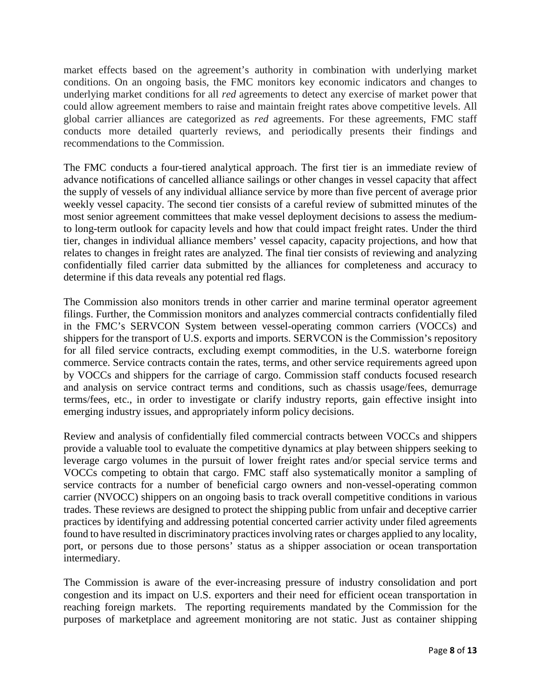market effects based on the agreement's authority in combination with underlying market conditions. On an ongoing basis, the FMC monitors key economic indicators and changes to underlying market conditions for all *red* agreements to detect any exercise of market power that could allow agreement members to raise and maintain freight rates above competitive levels. All global carrier alliances are categorized as *red* agreements. For these agreements, FMC staff conducts more detailed quarterly reviews, and periodically presents their findings and recommendations to the Commission.

The FMC conducts a four-tiered analytical approach. The first tier is an immediate review of advance notifications of cancelled alliance sailings or other changes in vessel capacity that affect the supply of vessels of any individual alliance service by more than five percent of average prior weekly vessel capacity. The second tier consists of a careful review of submitted minutes of the most senior agreement committees that make vessel deployment decisions to assess the mediumto long-term outlook for capacity levels and how that could impact freight rates. Under the third tier, changes in individual alliance members' vessel capacity, capacity projections, and how that relates to changes in freight rates are analyzed. The final tier consists of reviewing and analyzing confidentially filed carrier data submitted by the alliances for completeness and accuracy to determine if this data reveals any potential red flags.

The Commission also monitors trends in other carrier and marine terminal operator agreement filings. Further, the Commission monitors and analyzes commercial contracts confidentially filed in the FMC's SERVCON System between vessel-operating common carriers (VOCCs) and shippers for the transport of U.S. exports and imports. SERVCON is the Commission's repository for all filed service contracts, excluding exempt commodities, in the U.S. waterborne foreign commerce. Service contracts contain the rates, terms, and other service requirements agreed upon by VOCCs and shippers for the carriage of cargo. Commission staff conducts focused research and analysis on service contract terms and conditions, such as chassis usage/fees, demurrage terms/fees, etc., in order to investigate or clarify industry reports, gain effective insight into emerging industry issues, and appropriately inform policy decisions.

Review and analysis of confidentially filed commercial contracts between VOCCs and shippers provide a valuable tool to evaluate the competitive dynamics at play between shippers seeking to leverage cargo volumes in the pursuit of lower freight rates and/or special service terms and VOCCs competing to obtain that cargo. FMC staff also systematically monitor a sampling of service contracts for a number of beneficial cargo owners and non-vessel-operating common carrier (NVOCC) shippers on an ongoing basis to track overall competitive conditions in various trades. These reviews are designed to protect the shipping public from unfair and deceptive carrier practices by identifying and addressing potential concerted carrier activity under filed agreements found to have resulted in discriminatory practices involving rates or charges applied to any locality, port, or persons due to those persons' status as a shipper association or ocean transportation intermediary.

The Commission is aware of the ever-increasing pressure of industry consolidation and port congestion and its impact on U.S. exporters and their need for efficient ocean transportation in reaching foreign markets. The reporting requirements mandated by the Commission for the purposes of marketplace and agreement monitoring are not static. Just as container shipping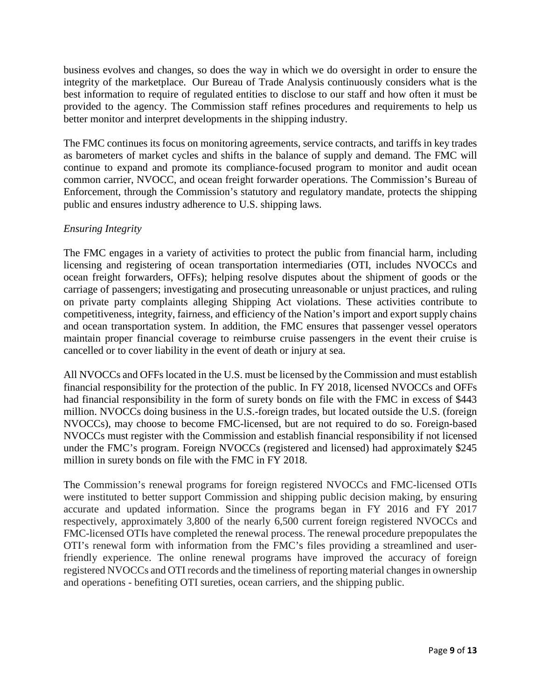business evolves and changes, so does the way in which we do oversight in order to ensure the integrity of the marketplace. Our Bureau of Trade Analysis continuously considers what is the best information to require of regulated entities to disclose to our staff and how often it must be provided to the agency. The Commission staff refines procedures and requirements to help us better monitor and interpret developments in the shipping industry.

The FMC continues its focus on monitoring agreements, service contracts, and tariffs in key trades as barometers of market cycles and shifts in the balance of supply and demand. The FMC will continue to expand and promote its compliance-focused program to monitor and audit ocean common carrier, NVOCC, and ocean freight forwarder operations. The Commission's Bureau of Enforcement, through the Commission's statutory and regulatory mandate, protects the shipping public and ensures industry adherence to U.S. shipping laws.

# *Ensuring Integrity*

The FMC engages in a variety of activities to protect the public from financial harm, including licensing and registering of ocean transportation intermediaries (OTI, includes NVOCCs and ocean freight forwarders, OFFs); helping resolve disputes about the shipment of goods or the carriage of passengers; investigating and prosecuting unreasonable or unjust practices, and ruling on private party complaints alleging Shipping Act violations. These activities contribute to competitiveness, integrity, fairness, and efficiency of the Nation's import and export supply chains and ocean transportation system. In addition, the FMC ensures that passenger vessel operators maintain proper financial coverage to reimburse cruise passengers in the event their cruise is cancelled or to cover liability in the event of death or injury at sea.

All NVOCCs and OFFs located in the U.S. must be licensed by the Commission and must establish financial responsibility for the protection of the public. In FY 2018, licensed NVOCCs and OFFs had financial responsibility in the form of surety bonds on file with the FMC in excess of \$443 million. NVOCCs doing business in the U.S.-foreign trades, but located outside the U.S. (foreign NVOCCs), may choose to become FMC-licensed, but are not required to do so. Foreign-based NVOCCs must register with the Commission and establish financial responsibility if not licensed under the FMC's program. Foreign NVOCCs (registered and licensed) had approximately \$245 million in surety bonds on file with the FMC in FY 2018.

The Commission's renewal programs for foreign registered NVOCCs and FMC-licensed OTIs were instituted to better support Commission and shipping public decision making, by ensuring accurate and updated information. Since the programs began in FY 2016 and FY 2017 respectively, approximately 3,800 of the nearly 6,500 current foreign registered NVOCCs and FMC-licensed OTIs have completed the renewal process. The renewal procedure prepopulates the OTI's renewal form with information from the FMC's files providing a streamlined and userfriendly experience. The online renewal programs have improved the accuracy of foreign registered NVOCCs and OTI records and the timeliness of reporting material changes in ownership and operations - benefiting OTI sureties, ocean carriers, and the shipping public.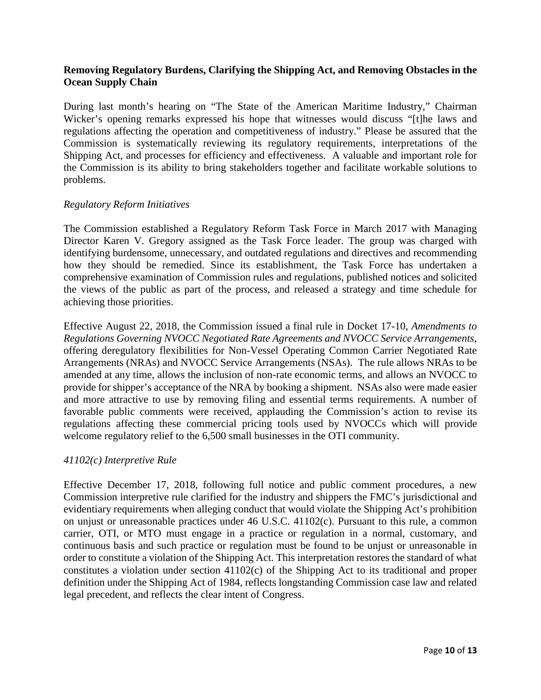## **Removing Regulatory Burdens, Clarifying the Shipping Act, and Removing Obstacles in the Ocean Supply Chain**

During last month's hearing on "The State of the American Maritime Industry," Chairman Wicker's opening remarks expressed his hope that witnesses would discuss "[t]he laws and regulations affecting the operation and competitiveness of industry." Please be assured that the Commission is systematically reviewing its regulatory requirements, interpretations of the Shipping Act, and processes for efficiency and effectiveness. A valuable and important role for the Commission is its ability to bring stakeholders together and facilitate workable solutions to problems.

#### *Regulatory Reform Initiatives*

The Commission established a Regulatory Reform Task Force in March 2017 with Managing Director Karen V. Gregory assigned as the Task Force leader. The group was charged with identifying burdensome, unnecessary, and outdated regulations and directives and recommending how they should be remedied. Since its establishment, the Task Force has undertaken a comprehensive examination of Commission rules and regulations, published notices and solicited the views of the public as part of the process, and released a strategy and time schedule for achieving those priorities.

Effective August 22, 2018, the Commission issued a final rule in Docket 17-10, *Amendments to Regulations Governing NVOCC Negotiated Rate Agreements and NVOCC Service Arrangements*, offering deregulatory flexibilities for Non-Vessel Operating Common Carrier Negotiated Rate Arrangements (NRAs) and NVOCC Service Arrangements (NSAs). The rule allows NRAs to be amended at any time, allows the inclusion of non-rate economic terms, and allows an NVOCC to provide for shipper's acceptance of the NRA by booking a shipment. NSAs also were made easier and more attractive to use by removing filing and essential terms requirements. A number of favorable public comments were received, applauding the Commission's action to revise its regulations affecting these commercial pricing tools used by NVOCCs which will provide welcome regulatory relief to the 6,500 small businesses in the OTI community.

#### *41102(c) Interpretive Rule*

Effective December 17, 2018, following full notice and public comment procedures, a new Commission interpretive rule clarified for the industry and shippers the FMC's jurisdictional and evidentiary requirements when alleging conduct that would violate the Shipping Act's prohibition on unjust or unreasonable practices under 46 U.S.C. 41102(c). Pursuant to this rule, a common carrier, OTI, or MTO must engage in a practice or regulation in a normal, customary, and continuous basis and such practice or regulation must be found to be unjust or unreasonable in order to constitute a violation of the Shipping Act. This interpretation restores the standard of what constitutes a violation under section 41102(c) of the Shipping Act to its traditional and proper definition under the Shipping Act of 1984, reflects longstanding Commission case law and related legal precedent, and reflects the clear intent of Congress.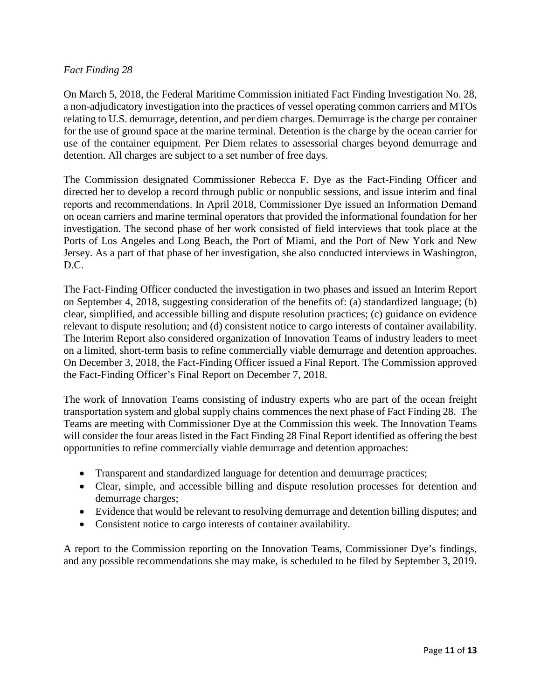# *Fact Finding 28*

On March 5, 2018, the Federal Maritime Commission initiated Fact Finding Investigation No. 28, a non-adjudicatory investigation into the practices of vessel operating common carriers and MTOs relating to U.S. demurrage, detention, and per diem charges. Demurrage is the charge per container for the use of ground space at the marine terminal. Detention is the charge by the ocean carrier for use of the container equipment. Per Diem relates to assessorial charges beyond demurrage and detention. All charges are subject to a set number of free days.

The Commission designated Commissioner Rebecca F. Dye as the Fact-Finding Officer and directed her to develop a record through public or nonpublic sessions, and issue interim and final reports and recommendations. In April 2018, Commissioner Dye issued an Information Demand on ocean carriers and marine terminal operators that provided the informational foundation for her investigation. The second phase of her work consisted of field interviews that took place at the Ports of Los Angeles and Long Beach, the Port of Miami, and the Port of New York and New Jersey. As a part of that phase of her investigation, she also conducted interviews in Washington, D.C.

The Fact-Finding Officer conducted the investigation in two phases and issued an Interim Report on September 4, 2018, suggesting consideration of the benefits of: (a) standardized language; (b) clear, simplified, and accessible billing and dispute resolution practices; (c) guidance on evidence relevant to dispute resolution; and (d) consistent notice to cargo interests of container availability. The Interim Report also considered organization of Innovation Teams of industry leaders to meet on a limited, short-term basis to refine commercially viable demurrage and detention approaches. On December 3, 2018, the Fact-Finding Officer issued a Final Report. The Commission approved the Fact-Finding Officer's Final Report on December 7, 2018.

The work of Innovation Teams consisting of industry experts who are part of the ocean freight transportation system and global supply chains commences the next phase of Fact Finding 28. The Teams are meeting with Commissioner Dye at the Commission this week. The Innovation Teams will consider the four areas listed in the Fact Finding 28 Final Report identified as offering the best opportunities to refine commercially viable demurrage and detention approaches:

- Transparent and standardized language for detention and demurrage practices;
- Clear, simple, and accessible billing and dispute resolution processes for detention and demurrage charges;
- Evidence that would be relevant to resolving demurrage and detention billing disputes; and
- Consistent notice to cargo interests of container availability.

A report to the Commission reporting on the Innovation Teams, Commissioner Dye's findings, and any possible recommendations she may make, is scheduled to be filed by September 3, 2019.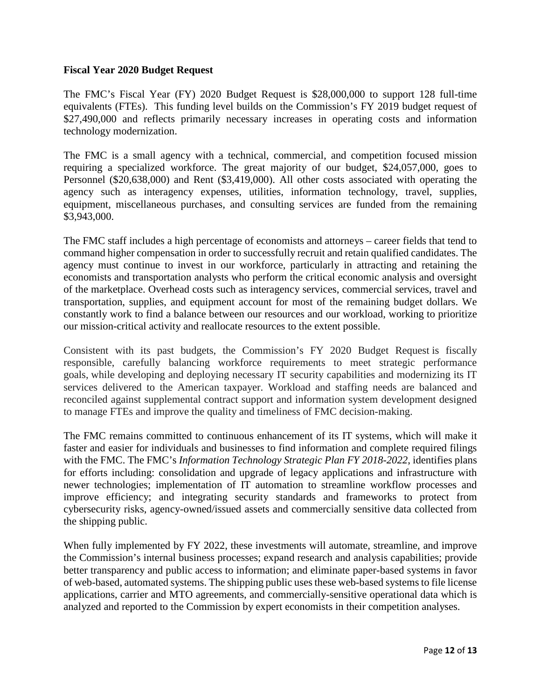#### **Fiscal Year 2020 Budget Request**

The FMC's Fiscal Year (FY) 2020 Budget Request is \$28,000,000 to support 128 full-time equivalents (FTEs). This funding level builds on the Commission's FY 2019 budget request of \$27,490,000 and reflects primarily necessary increases in operating costs and information technology modernization.

The FMC is a small agency with a technical, commercial, and competition focused mission requiring a specialized workforce. The great majority of our budget, \$24,057,000, goes to Personnel (\$20,638,000) and Rent (\$3,419,000). All other costs associated with operating the agency such as interagency expenses, utilities, information technology, travel, supplies, equipment, miscellaneous purchases, and consulting services are funded from the remaining \$3,943,000.

The FMC staff includes a high percentage of economists and attorneys – career fields that tend to command higher compensation in order to successfully recruit and retain qualified candidates. The agency must continue to invest in our workforce, particularly in attracting and retaining the economists and transportation analysts who perform the critical economic analysis and oversight of the marketplace. Overhead costs such as interagency services, commercial services, travel and transportation, supplies, and equipment account for most of the remaining budget dollars. We constantly work to find a balance between our resources and our workload, working to prioritize our mission-critical activity and reallocate resources to the extent possible.

Consistent with its past budgets, the Commission's FY 2020 Budget Request is fiscally responsible, carefully balancing workforce requirements to meet strategic performance goals, while developing and deploying necessary IT security capabilities and modernizing its IT services delivered to the American taxpayer. Workload and staffing needs are balanced and reconciled against supplemental contract support and information system development designed to manage FTEs and improve the quality and timeliness of FMC decision-making.

The FMC remains committed to continuous enhancement of its IT systems, which will make it faster and easier for individuals and businesses to find information and complete required filings with the FMC. The FMC's *Information Technology Strategic Plan FY 2018-2022*, identifies plans for efforts including: consolidation and upgrade of legacy applications and infrastructure with newer technologies; implementation of IT automation to streamline workflow processes and improve efficiency; and integrating security standards and frameworks to protect from cybersecurity risks, agency-owned/issued assets and commercially sensitive data collected from the shipping public.

When fully implemented by FY 2022, these investments will automate, streamline, and improve the Commission's internal business processes; expand research and analysis capabilities; provide better transparency and public access to information; and eliminate paper-based systems in favor of web-based, automated systems. The shipping public uses these web-based systemsto file license applications, carrier and MTO agreements, and commercially-sensitive operational data which is analyzed and reported to the Commission by expert economists in their competition analyses.